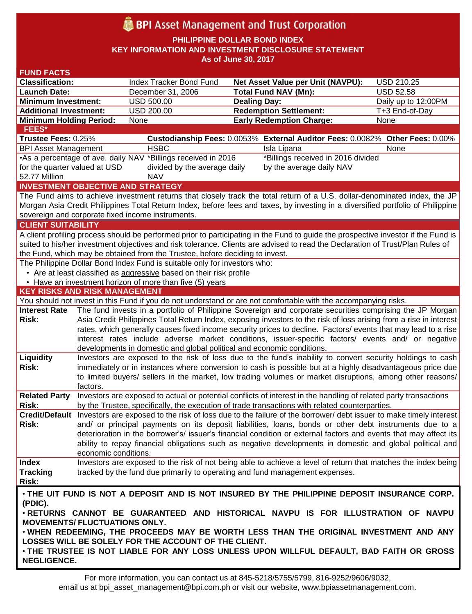# **BPI** Asset Management and Trust Corporation

**PHILIPPINE DOLLAR BOND INDEX**

**KEY INFORMATION AND INVESTMENT DISCLOSURE STATEMENT**

**As of June 30, 2017**

| <b>FUND FACTS</b>                                                                                                                  |                      |                                                                                                                                                                                                                                      |                                                                                                                                  |                     |  |
|------------------------------------------------------------------------------------------------------------------------------------|----------------------|--------------------------------------------------------------------------------------------------------------------------------------------------------------------------------------------------------------------------------------|----------------------------------------------------------------------------------------------------------------------------------|---------------------|--|
| <b>Classification:</b>                                                                                                             |                      | Index Tracker Bond Fund                                                                                                                                                                                                              | <b>Net Asset Value per Unit (NAVPU):</b>                                                                                         | <b>USD 210.25</b>   |  |
| <b>Launch Date:</b>                                                                                                                |                      | December 31, 2006                                                                                                                                                                                                                    | <b>Total Fund NAV (Mn):</b>                                                                                                      | <b>USD 52.58</b>    |  |
| <b>Minimum Investment:</b>                                                                                                         |                      | <b>USD 500.00</b>                                                                                                                                                                                                                    | <b>Dealing Day:</b>                                                                                                              | Daily up to 12:00PM |  |
| <b>Additional Investment:</b>                                                                                                      |                      | <b>USD 200.00</b>                                                                                                                                                                                                                    | <b>Redemption Settlement:</b>                                                                                                    | T+3 End-of-Day      |  |
| <b>Minimum Holding Period:</b>                                                                                                     |                      | None                                                                                                                                                                                                                                 | <b>Early Redemption Charge:</b>                                                                                                  | None                |  |
| FEES*                                                                                                                              |                      |                                                                                                                                                                                                                                      |                                                                                                                                  |                     |  |
| Trustee Fees: 0.25%                                                                                                                |                      |                                                                                                                                                                                                                                      | Custodianship Fees: 0.0053% External Auditor Fees: 0.0082% Other Fees: 0.00%                                                     |                     |  |
| <b>BPI Asset Management</b>                                                                                                        |                      | <b>HSBC</b>                                                                                                                                                                                                                          | Isla Lipana                                                                                                                      | None                |  |
|                                                                                                                                    |                      | •As a percentage of ave. daily NAV *Billings received in 2016                                                                                                                                                                        | *Billings received in 2016 divided                                                                                               |                     |  |
| for the quarter valued at USD                                                                                                      |                      | divided by the average daily                                                                                                                                                                                                         | by the average daily NAV                                                                                                         |                     |  |
| 52.77 Million                                                                                                                      |                      | <b>NAV</b>                                                                                                                                                                                                                           |                                                                                                                                  |                     |  |
| <b>INVESTMENT OBJECTIVE AND STRATEGY</b>                                                                                           |                      |                                                                                                                                                                                                                                      |                                                                                                                                  |                     |  |
| The Fund aims to achieve investment returns that closely track the total return of a U.S. dollar-denominated index, the JP         |                      |                                                                                                                                                                                                                                      |                                                                                                                                  |                     |  |
| Morgan Asia Credit Philippines Total Return Index, before fees and taxes, by investing in a diversified portfolio of Philippine    |                      |                                                                                                                                                                                                                                      |                                                                                                                                  |                     |  |
| sovereign and corporate fixed income instruments.                                                                                  |                      |                                                                                                                                                                                                                                      |                                                                                                                                  |                     |  |
| <b>CLIENT SUITABILITY</b>                                                                                                          |                      |                                                                                                                                                                                                                                      |                                                                                                                                  |                     |  |
| A client profiling process should be performed prior to participating in the Fund to guide the prospective investor if the Fund is |                      |                                                                                                                                                                                                                                      |                                                                                                                                  |                     |  |
| suited to his/her investment objectives and risk tolerance. Clients are advised to read the Declaration of Trust/Plan Rules of     |                      |                                                                                                                                                                                                                                      |                                                                                                                                  |                     |  |
|                                                                                                                                    |                      | the Fund, which may be obtained from the Trustee, before deciding to invest.                                                                                                                                                         |                                                                                                                                  |                     |  |
|                                                                                                                                    |                      | The Philippine Dollar Bond Index Fund is suitable only for investors who:                                                                                                                                                            |                                                                                                                                  |                     |  |
| • Are at least classified as aggressive based on their risk profile                                                                |                      |                                                                                                                                                                                                                                      |                                                                                                                                  |                     |  |
| • Have an investment horizon of more than five (5) years                                                                           |                      |                                                                                                                                                                                                                                      |                                                                                                                                  |                     |  |
| <b>KEY RISKS AND RISK MANAGEMENT</b>                                                                                               |                      |                                                                                                                                                                                                                                      |                                                                                                                                  |                     |  |
|                                                                                                                                    |                      |                                                                                                                                                                                                                                      | You should not invest in this Fund if you do not understand or are not comfortable with the accompanying risks.                  |                     |  |
| <b>Interest Rate</b>                                                                                                               |                      |                                                                                                                                                                                                                                      | The fund invests in a portfolio of Philippine Sovereign and corporate securities comprising the JP Morgan                        |                     |  |
| Risk:                                                                                                                              |                      | Asia Credit Philippines Total Return Index, exposing investors to the risk of loss arising from a rise in interest<br>rates, which generally causes fixed income security prices to decline. Factors/ events that may lead to a rise |                                                                                                                                  |                     |  |
|                                                                                                                                    |                      |                                                                                                                                                                                                                                      |                                                                                                                                  |                     |  |
|                                                                                                                                    |                      |                                                                                                                                                                                                                                      | interest rates include adverse market conditions, issuer-specific factors/ events and/ or negative                               |                     |  |
|                                                                                                                                    |                      | developments in domestic and global political and economic conditions.                                                                                                                                                               |                                                                                                                                  |                     |  |
| <b>Liquidity</b>                                                                                                                   |                      |                                                                                                                                                                                                                                      | Investors are exposed to the risk of loss due to the fund's inability to convert security holdings to cash                       |                     |  |
| Risk:                                                                                                                              |                      | immediately or in instances where conversion to cash is possible but at a highly disadvantageous price due<br>to limited buyers/ sellers in the market, low trading volumes or market disruptions, among other reasons/              |                                                                                                                                  |                     |  |
|                                                                                                                                    |                      |                                                                                                                                                                                                                                      |                                                                                                                                  |                     |  |
| <b>Related Party</b>                                                                                                               | factors.             |                                                                                                                                                                                                                                      | Investors are exposed to actual or potential conflicts of interest in the handling of related party transactions                 |                     |  |
| Risk:                                                                                                                              |                      |                                                                                                                                                                                                                                      | by the Trustee, specifically, the execution of trade transactions with related counterparties.                                   |                     |  |
|                                                                                                                                    |                      |                                                                                                                                                                                                                                      | Credit/Default Investors are exposed to the risk of loss due to the failure of the borrower/ debt issuer to make timely interest |                     |  |
| Risk:                                                                                                                              |                      |                                                                                                                                                                                                                                      | and/ or principal payments on its deposit liabilities, loans, bonds or other debt instruments due to a                           |                     |  |
|                                                                                                                                    |                      |                                                                                                                                                                                                                                      | deterioration in the borrower's/ issuer's financial condition or external factors and events that may affect its                 |                     |  |
|                                                                                                                                    |                      |                                                                                                                                                                                                                                      | ability to repay financial obligations such as negative developments in domestic and global political and                        |                     |  |
|                                                                                                                                    | economic conditions. |                                                                                                                                                                                                                                      |                                                                                                                                  |                     |  |
| <b>Index</b>                                                                                                                       |                      |                                                                                                                                                                                                                                      | Investors are exposed to the risk of not being able to achieve a level of return that matches the index being                    |                     |  |
| <b>Tracking</b>                                                                                                                    |                      |                                                                                                                                                                                                                                      | tracked by the fund due primarily to operating and fund management expenses.                                                     |                     |  |
| <b>Risk:</b>                                                                                                                       |                      |                                                                                                                                                                                                                                      |                                                                                                                                  |                     |  |
|                                                                                                                                    |                      |                                                                                                                                                                                                                                      |                                                                                                                                  |                     |  |
| . THE UIT FUND IS NOT A DEPOSIT AND IS NOT INSURED BY THE PHILIPPINE DEPOSIT INSURANCE CORP.<br>(PDIC).                            |                      |                                                                                                                                                                                                                                      |                                                                                                                                  |                     |  |
| . RETURNS CANNOT BE GUARANTEED AND HISTORICAL NAVPU IS FOR ILLUSTRATION OF NAVPU                                                   |                      |                                                                                                                                                                                                                                      |                                                                                                                                  |                     |  |
| <b>MOVEMENTS/ FLUCTUATIONS ONLY.</b>                                                                                               |                      |                                                                                                                                                                                                                                      |                                                                                                                                  |                     |  |
| . WHEN REDEEMING, THE PROCEEDS MAY BE WORTH LESS THAN THE ORIGINAL INVESTMENT AND ANY                                              |                      |                                                                                                                                                                                                                                      |                                                                                                                                  |                     |  |
| LOSSES WILL BE SOLELY FOR THE ACCOUNT OF THE CLIENT.                                                                               |                      |                                                                                                                                                                                                                                      |                                                                                                                                  |                     |  |
|                                                                                                                                    |                      |                                                                                                                                                                                                                                      |                                                                                                                                  |                     |  |
| . THE TRUSTEE IS NOT LIABLE FOR ANY LOSS UNLESS UPON WILLFUL DEFAULT, BAD FAITH OR GROSS<br><b>NEGLIGENCE.</b>                     |                      |                                                                                                                                                                                                                                      |                                                                                                                                  |                     |  |
|                                                                                                                                    |                      |                                                                                                                                                                                                                                      |                                                                                                                                  |                     |  |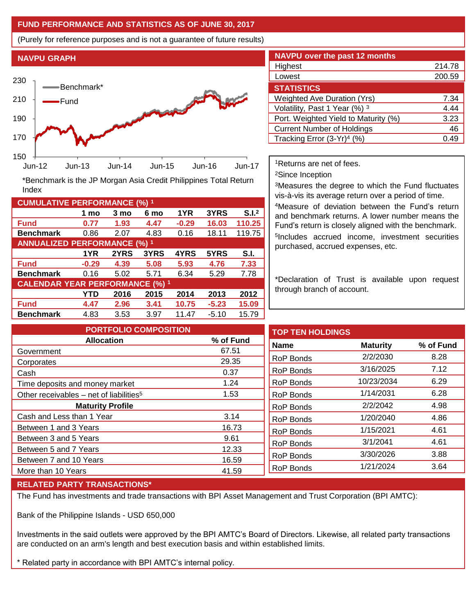### **FUND PERFORMANCE AND STATISTICS AS OF JUNE 30, 2017**

(Purely for reference purposes and is not a guarantee of future results)

**NAVPU GRAPH**

Index



**Fund 0.77 1.93 4.47 -0.29 16.03 110.25 Benchmark** 0.86 2.07 4.83 0.16 18.11 119.75

\*Benchmark is the JP Morgan Asia Credit Philippines Total Return

**Fund -0.29 4.39 5.08 5.93 4.76 7.33 Benchmark** 0.16 5.02 5.71 6.34 5.29 7.78

**Fund 4.47 2.96 3.41 10.75 -5.23 15.09 Benchmark** 4.83 3.53 3.97 11.47 -5.10 15.79

**1 mo 3 mo 6 mo 1YR 3YRS S.I.<sup>2</sup>**

**1YR 2YRS 3YRS 4YRS 5YRS S.I.**

**YTD 2016 2015 2014 2013 2012**

| <b>NAVPU over the past 12 months</b>   |        |  |  |  |  |
|----------------------------------------|--------|--|--|--|--|
| Highest                                | 214.78 |  |  |  |  |
| Lowest                                 | 200.59 |  |  |  |  |
| <b>STATISTICS</b>                      |        |  |  |  |  |
| <b>Weighted Ave Duration (Yrs)</b>     | 7.34   |  |  |  |  |
| Volatility, Past 1 Year (%) 3          | 4.44   |  |  |  |  |
| Port. Weighted Yield to Maturity (%)   | 3.23   |  |  |  |  |
| <b>Current Number of Holdings</b>      | 46     |  |  |  |  |
| Tracking Error (3-Yr) <sup>4</sup> (%) | 0.49   |  |  |  |  |

<sup>1</sup>Returns are net of fees.

<sup>2</sup>Since Inception

<sup>3</sup>Measures the degree to which the Fund fluctuates vis-à-vis its average return over a period of time.

<sup>4</sup>Measure of deviation between the Fund's return and benchmark returns. A lower number means the Fund's return is closely aligned with the benchmark. 5 Includes accrued income, investment securities purchased, accrued expenses, etc.

\*Declaration of Trust is available upon request through branch of account.

**TOP TEN HOLDINGS Name Maturity % of Fund** RoP Bonds 2/2/2030 8.28 RoP Bonds 3/16/2025 7.12 RoP Bonds 10/23/2034 6.29 RoP Bonds 1/14/2031 6.28 RoP Bonds 2/2/2042 4.98 RoP Bonds 1/20/2040 4.86 RoP Bonds 1/15/2021 4.61 RoP Bonds 3/1/2041 4.61 RoP Bonds 3/30/2026 3.88 RoP Bonds 1/21/2024 3.64 **PORTFOLIO COMPOSITION Allocation % of Fund** Government 67.51 Corporates 29.35 Cash 0.37 Time deposits and money market 1.24 Other receivables – net of liabilities<sup>5</sup>  $1.53$ **Maturity Profile** Cash and Less than 1 Year 3.14 Between 1 and 3 Years 16.73 Between 3 and 5 Years 6 and 1 and 1 and 1 and 1 and 1 and 1 and 1 and 1 and 1 and 1 and 1 and 1 and 1 and 1 and 1 and 1 and 1 and 1 and 1 and 1 and 1 and 1 and 1 and 1 and 1 and 1 and 1 and 1 and 1 and 1 and 1 and 1 and 1 Between 5 and 7 Years 12.33 Between 7 and 10 Years 16.59 More than 10 Years 41.59

### **RELATED PARTY TRANSACTIONS\***

**CUMULATIVE PERFORMANCE (%) <sup>1</sup>**

**ANNUALIZED PERFORMANCE (%) <sup>1</sup>**

**CALENDAR YEAR PERFORMANCE (%) <sup>1</sup>**

The Fund has investments and trade transactions with BPI Asset Management and Trust Corporation (BPI AMTC):

Bank of the Philippine Islands - USD 650,000

Investments in the said outlets were approved by the BPI AMTC's Board of Directors. Likewise, all related party transactions are conducted on an arm's length and best execution basis and within established limits.

\* Related party in accordance with BPI AMTC's internal policy.